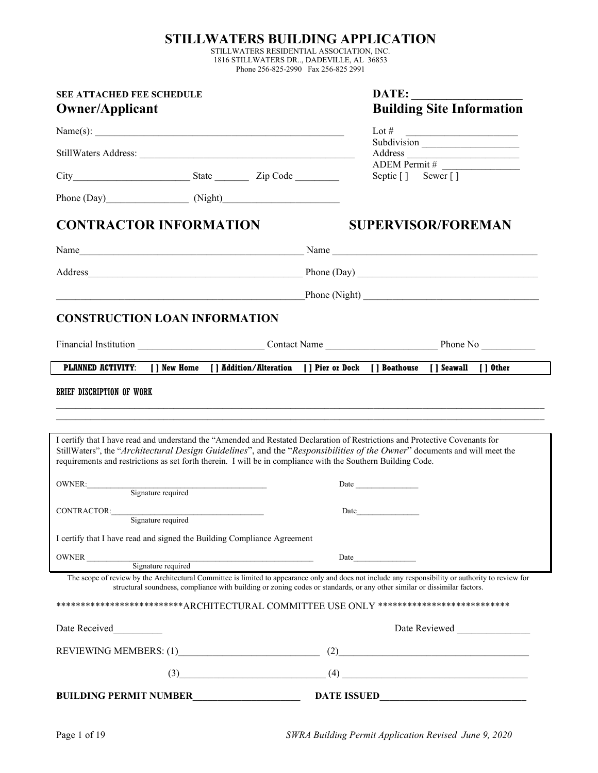## **STILLWATERS BUILDING APPLICATION**

STILLWATERS RESIDENTIAL ASSOCIATION, INC. 1816 STILLWATERS DR.., DADEVILLE, AL 36853 Phone 256-825-2990 Fax 256-825 2991

| <b>SEE ATTACHED FEE SCHEDULE</b><br><b>Owner/Applicant</b>                                                   | <b>Building Site Information</b> |                                                                                                                                                                                                                                                                                 |  |
|--------------------------------------------------------------------------------------------------------------|----------------------------------|---------------------------------------------------------------------------------------------------------------------------------------------------------------------------------------------------------------------------------------------------------------------------------|--|
| Name(s): $\qquad \qquad$                                                                                     |                                  | Lot #<br><u> Alexandria de la contrada de la contrada de la contrada de la contrada de la contrada de la contrada de la c</u>                                                                                                                                                   |  |
|                                                                                                              |                                  | Subdivision                                                                                                                                                                                                                                                                     |  |
|                                                                                                              |                                  |                                                                                                                                                                                                                                                                                 |  |
|                                                                                                              |                                  | Septic [] Sewer []                                                                                                                                                                                                                                                              |  |
| Phone (Day) (Night) (Night)                                                                                  |                                  |                                                                                                                                                                                                                                                                                 |  |
| <b>CONTRACTOR INFORMATION</b>                                                                                | <b>SUPERVISOR/FOREMAN</b>        |                                                                                                                                                                                                                                                                                 |  |
|                                                                                                              |                                  |                                                                                                                                                                                                                                                                                 |  |
|                                                                                                              |                                  |                                                                                                                                                                                                                                                                                 |  |
| <u> 1989 - Johann Barn, fransk politik (f. 1989)</u>                                                         |                                  |                                                                                                                                                                                                                                                                                 |  |
| <b>CONSTRUCTION LOAN INFORMATION</b>                                                                         |                                  |                                                                                                                                                                                                                                                                                 |  |
|                                                                                                              |                                  |                                                                                                                                                                                                                                                                                 |  |
|                                                                                                              |                                  | PLANNED ACTIVITY: [ ] New Home [ ] Addition/Alteration [ ] Pier or Dock [ ] Boathouse [ ] Seawall [ ] Other                                                                                                                                                                     |  |
| requirements and restrictions as set forth therein. I will be in compliance with the Southern Building Code. |                                  | I certify that I have read and understand the "Amended and Restated Declaration of Restrictions and Protective Covenants for<br>StillWaters", the "Architectural Design Guidelines", and the "Responsibilities of the Owner" documents and will meet the                        |  |
| OWNER:<br>Signature required                                                                                 |                                  | Date and the same state of the state of the state of the state of the state of the state of the state of the state of the state of the state of the state of the state of the state of the state of the state of the state of                                                   |  |
|                                                                                                              |                                  | Date and the same state of the state of the state of the state of the state of the state of the state of the state of the state of the state of the state of the state of the state of the state of the state of the state of                                                   |  |
| CONTRACTOR:<br>Signature required                                                                            |                                  |                                                                                                                                                                                                                                                                                 |  |
| I certify that I have read and signed the Building Compliance Agreement                                      |                                  |                                                                                                                                                                                                                                                                                 |  |
| OWNER<br>Signature required<br>Signature required                                                            |                                  | Date                                                                                                                                                                                                                                                                            |  |
|                                                                                                              |                                  | The scope of review by the Architectural Committee is limited to appearance only and does not include any responsibility or authority to review for<br>structural soundness, compliance with building or zoning codes or standards, or any other similar or dissimilar factors. |  |
|                                                                                                              |                                  | ***************************ARCHITECTURAL COMMITTEE USE ONLY ***************************                                                                                                                                                                                         |  |
| Date Received<br>$\mathcal{L}^{\text{max}}_{\text{max}}$ , where $\mathcal{L}^{\text{max}}_{\text{max}}$     |                                  | Date Reviewed                                                                                                                                                                                                                                                                   |  |
|                                                                                                              |                                  | (2)                                                                                                                                                                                                                                                                             |  |
|                                                                                                              | (3)                              | $(4) \qquad \qquad \overbrace{\qquad \qquad }^{(4)}$                                                                                                                                                                                                                            |  |
| <b>BUILDING PERMIT NUMBER</b>                                                                                |                                  | <b>DATE ISSUED</b>                                                                                                                                                                                                                                                              |  |

Page 1 of 19 *SWRA Building Permit Application Revised June 9, 2020*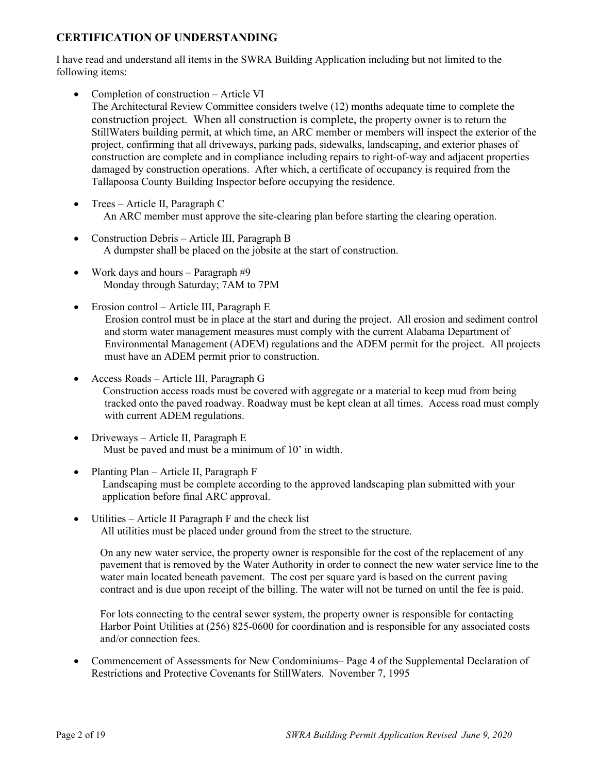## **CERTIFICATION OF UNDERSTANDING**

I have read and understand all items in the SWRA Building Application including but not limited to the following items:

- Completion of construction Article VI The Architectural Review Committee considers twelve (12) months adequate time to complete the construction project. When all construction is complete, the property owner is to return the StillWaters building permit, at which time, an ARC member or members will inspect the exterior of the project, confirming that all driveways, parking pads, sidewalks, landscaping, and exterior phases of construction are complete and in compliance including repairs to right-of-way and adjacent properties damaged by construction operations. After which, a certificate of occupancy is required from the Tallapoosa County Building Inspector before occupying the residence.
- Trees Article II, Paragraph C An ARC member must approve the site-clearing plan before starting the clearing operation.
- Construction Debris Article III, Paragraph B A dumpster shall be placed on the jobsite at the start of construction.
- Work days and hours Paragraph #9 Monday through Saturday; 7AM to 7PM
- Erosion control Article III, Paragraph E Erosion control must be in place at the start and during the project. All erosion and sediment control and storm water management measures must comply with the current Alabama Department of Environmental Management (ADEM) regulations and the ADEM permit for the project. All projects must have an ADEM permit prior to construction.
- Access Roads Article III, Paragraph G Construction access roads must be covered with aggregate or a material to keep mud from being tracked onto the paved roadway. Roadway must be kept clean at all times. Access road must comply with current ADEM regulations.
- Driveways Article II, Paragraph E Must be paved and must be a minimum of 10' in width.
- Planting Plan Article II, Paragraph F Landscaping must be complete according to the approved landscaping plan submitted with your application before final ARC approval.
- Utilities Article II Paragraph F and the check list All utilities must be placed under ground from the street to the structure.

On any new water service, the property owner is responsible for the cost of the replacement of any pavement that is removed by the Water Authority in order to connect the new water service line to the water main located beneath pavement. The cost per square yard is based on the current paving contract and is due upon receipt of the billing. The water will not be turned on until the fee is paid.

For lots connecting to the central sewer system, the property owner is responsible for contacting Harbor Point Utilities at (256) 825-0600 for coordination and is responsible for any associated costs and/or connection fees.

• Commencement of Assessments for New Condominiums– Page 4 of the Supplemental Declaration of Restrictions and Protective Covenants for StillWaters. November 7, 1995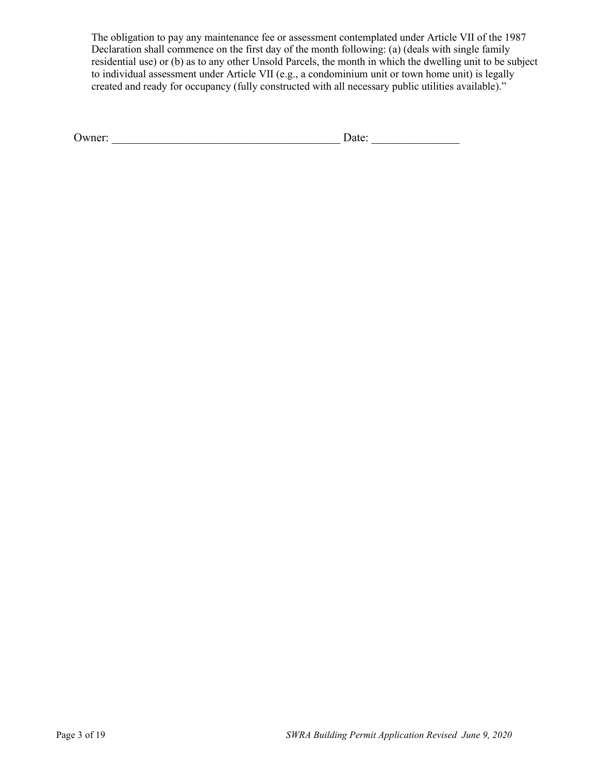The obligation to pay any maintenance fee or assessment contemplated under Article VII of the 1987 Declaration shall commence on the first day of the month following: (a) (deals with single family residential use) or (b) as to any other Unsold Parcels, the month in which the dwelling unit to be subject to individual assessment under Article VII (e.g., a condominium unit or town home unit) is legally created and ready for occupancy (fully constructed with all necessary public utilities available)."

| "∞ne≖<br>◡<br>--<br>__ |
|------------------------|
|------------------------|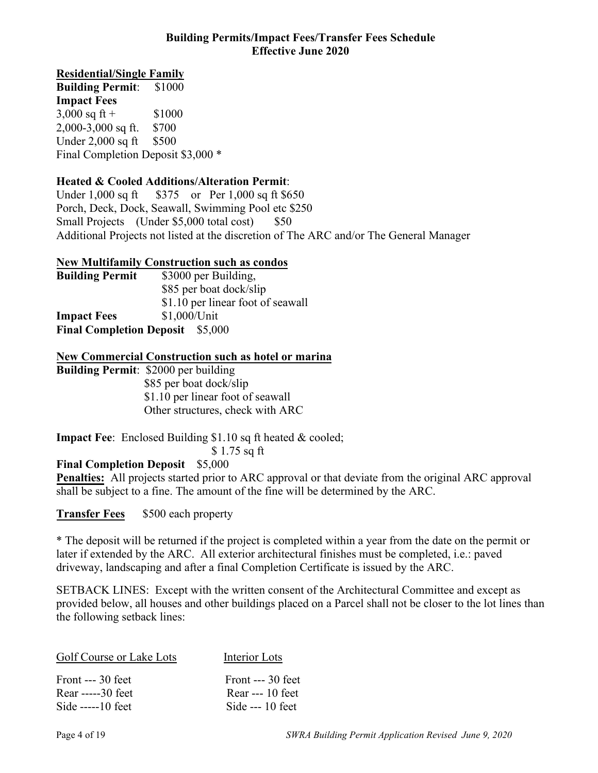#### **Building Permits/Impact Fees/Transfer Fees Schedule Effective June 2020**

## **Residential/Single Family**

**Building Permit**: \$1000 **Impact Fees**   $3,000$  sq ft + \$1000 2,000-3,000 sq ft. \$700 Under 2,000 sq ft \$500 Final Completion Deposit \$3,000 \*

## **Heated & Cooled Additions/Alteration Permit**:

Under 1,000 sq ft \$375 or Per 1,000 sq ft \$650 Porch, Deck, Dock, Seawall, Swimming Pool etc \$250 Small Projects (Under \$5,000 total cost) \$50 Additional Projects not listed at the discretion of The ARC and/or The General Manager

## **New Multifamily Construction such as condos**

| <b>Building Permit</b>          | \$3000 per Building,              |  |
|---------------------------------|-----------------------------------|--|
|                                 | \$85 per boat dock/slip           |  |
|                                 | \$1.10 per linear foot of seawall |  |
| <b>Impact Fees</b>              | \$1,000/Unit                      |  |
| <b>Final Completion Deposit</b> | \$5,000                           |  |

## **New Commercial Construction such as hotel or marina**

**Building Permit**: \$2000 per building \$85 per boat dock/slip \$1.10 per linear foot of seawall Other structures, check with ARC

**Impact Fee:** Enclosed Building \$1.10 sq ft heated & cooled;

\$ 1.75 sq ft

## **Final Completion Deposit** \$5,000

**Penalties:** All projects started prior to ARC approval or that deviate from the original ARC approval shall be subject to a fine. The amount of the fine will be determined by the ARC.

**Transfer Fees** \$500 each property

\* The deposit will be returned if the project is completed within a year from the date on the permit or later if extended by the ARC. All exterior architectural finishes must be completed, i.e.: paved driveway, landscaping and after a final Completion Certificate is issued by the ARC.

SETBACK LINES: Except with the written consent of the Architectural Committee and except as provided below, all houses and other buildings placed on a Parcel shall not be closer to the lot lines than the following setback lines:

| Golf Course or Lake Lots | Interior Lots      |
|--------------------------|--------------------|
| Front $--$ 30 feet       | Front $--$ 30 feet |
| Rear -----30 feet        | Rear --- $10$ feet |
| Side $---10$ feet        | Side $-- 10$ feet  |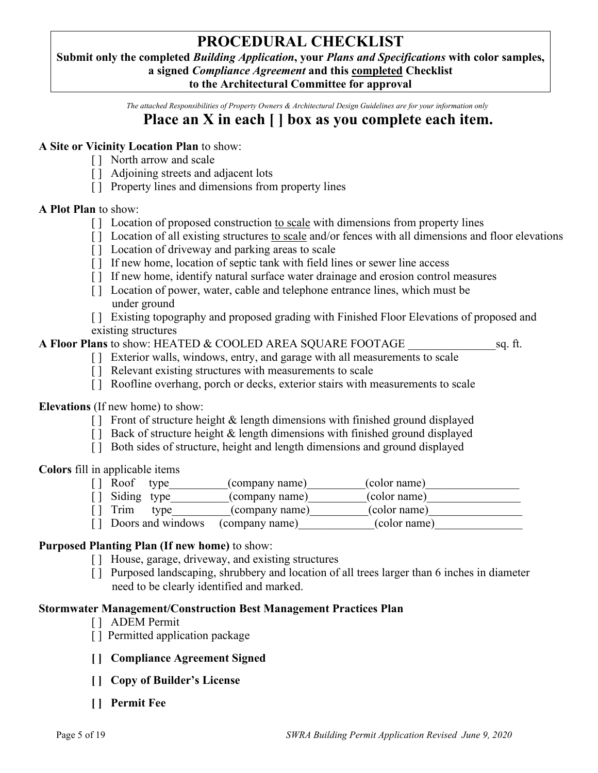# **PROCEDURAL CHECKLIST**

**Submit only the completed** *Building Application***, your** *Plans and Specifications* **with color samples, a signed** *Compliance Agreement* **and this completed Checklist** 

**to the Architectural Committee for approval**

*The attached Responsibilities of Property Owners & Architectural Design Guidelines are for your information only*

# **Place an X in each [ ] box as you complete each item.**

## **A Site or Vicinity Location Plan** to show:

- [ ] North arrow and scale
- [ ] Adjoining streets and adjacent lots
- [ ] Property lines and dimensions from property lines

#### **A Plot Plan** to show:

- [] Location of proposed construction to scale with dimensions from property lines
- [] Location of all existing structures to scale and/or fences with all dimensions and floor elevations
- [ ] Location of driveway and parking areas to scale
- [] If new home, location of septic tank with field lines or sewer line access
- [ ] If new home, identify natural surface water drainage and erosion control measures
- [] Location of power, water, cable and telephone entrance lines, which must be under ground
- [ ] Existing topography and proposed grading with Finished Floor Elevations of proposed and existing structures

#### **A Floor Plans** to show: HEATED & COOLED AREA SQUARE FOOTAGE \_\_\_\_\_\_\_\_\_\_\_\_\_\_\_sq. ft.

- [] Exterior walls, windows, entry, and garage with all measurements to scale
- [] Relevant existing structures with measurements to scale
- [ ] Roofline overhang, porch or decks, exterior stairs with measurements to scale

#### **Elevations** (If new home) to show:

- $\lceil \cdot \rceil$  Front of structure height & length dimensions with finished ground displayed
- $\lceil \cdot \rceil$  Back of structure height & length dimensions with finished ground displayed
- [ ] Both sides of structure, height and length dimensions and ground displayed

**Colors** fill in applicable items

| Roof type                  |                   | (company name) | (color name) |
|----------------------------|-------------------|----------------|--------------|
| [] Siding type             |                   | (company name) | (color name) |
| $\lceil \cdot \rceil$ Trim | type              | (company name) | (color name) |
|                            | Doors and windows | (company name) | (color name) |

#### **Purposed Planting Plan (If new home)** to show:

- [ ] House, garage, driveway, and existing structures
- [ ] Purposed landscaping, shrubbery and location of all trees larger than 6 inches in diameter need to be clearly identified and marked.

#### **Stormwater Management/Construction Best Management Practices Plan**

- [ ] ADEM Permit
- [] Permitted application package
- **[ ] Compliance Agreement Signed**
- **[ ] Copy of Builder's License**
- **[ ] Permit Fee**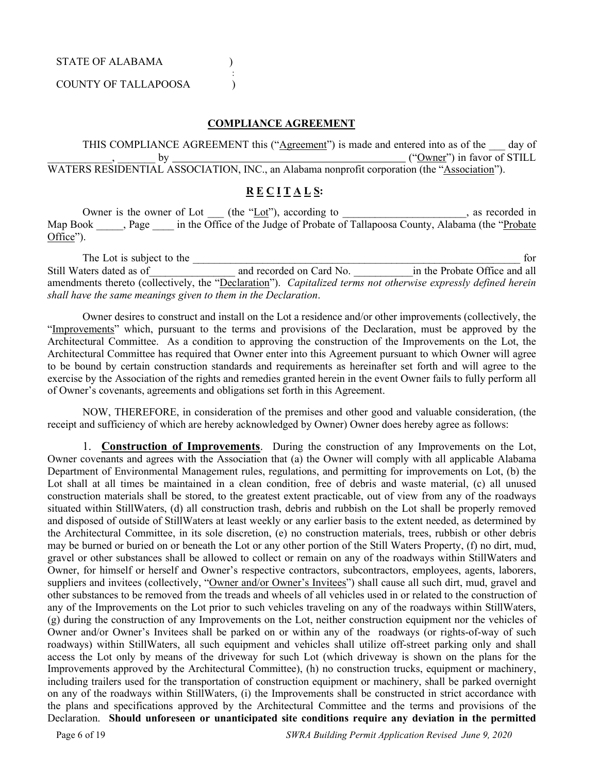STATE OF ALABAMA ) :

#### COUNTY OF TALLAPOOSA )

#### **COMPLIANCE AGREEMENT**

THIS COMPLIANCE AGREEMENT this ("Agreement") is made and entered into as of the day of  $\frac{1}{2}$  by  $\frac{1}{2}$  by  $\frac{1}{2}$  by  $\frac{1}{2}$  by  $\frac{1}{2}$  by  $\frac{1}{2}$  by  $\frac{1}{2}$  by  $\frac{1}{2}$  by  $\frac{1}{2}$  by  $\frac{1}{2}$  by  $\frac{1}{2}$  by  $\frac{1}{2}$  by  $\frac{1}{2}$  by  $\frac{1}{2}$  by  $\frac{1}{2}$  by  $\frac{1}{2}$  by  $\frac{1}{2}$  by WATERS RESIDENTIAL ASSOCIATION, INC., an Alabama nonprofit corporation (the "Association").

## **R E C I T A L S:**

Owner is the owner of Lot \_\_\_ (the "Lot"), according to \_\_\_\_\_\_\_\_\_\_\_\_\_\_\_\_, as recorded in Map Book , Page in the Office of the Judge of Probate of Tallapoosa County, Alabama (the "Probate Office").

The Lot is subject to the two states of the states of the states of the states of the states of the states of the states of the states of the states of the states of the states of the states of the states of the states of Still Waters dated as of and recorded on Card No. The Probate Office and all amendments thereto (collectively, the "Declaration"). *Capitalized terms not otherwise expressly defined herein shall have the same meanings given to them in the Declaration*.

Owner desires to construct and install on the Lot a residence and/or other improvements (collectively, the "Improvements" which, pursuant to the terms and provisions of the Declaration, must be approved by the Architectural Committee. As a condition to approving the construction of the Improvements on the Lot, the Architectural Committee has required that Owner enter into this Agreement pursuant to which Owner will agree to be bound by certain construction standards and requirements as hereinafter set forth and will agree to the exercise by the Association of the rights and remedies granted herein in the event Owner fails to fully perform all of Owner's covenants, agreements and obligations set forth in this Agreement.

NOW, THEREFORE, in consideration of the premises and other good and valuable consideration, (the receipt and sufficiency of which are hereby acknowledged by Owner) Owner does hereby agree as follows:

1. **Construction of Improvements**. During the construction of any Improvements on the Lot, Owner covenants and agrees with the Association that (a) the Owner will comply with all applicable Alabama Department of Environmental Management rules, regulations, and permitting for improvements on Lot, (b) the Lot shall at all times be maintained in a clean condition, free of debris and waste material, (c) all unused construction materials shall be stored, to the greatest extent practicable, out of view from any of the roadways situated within StillWaters, (d) all construction trash, debris and rubbish on the Lot shall be properly removed and disposed of outside of StillWaters at least weekly or any earlier basis to the extent needed, as determined by the Architectural Committee, in its sole discretion, (e) no construction materials, trees, rubbish or other debris may be burned or buried on or beneath the Lot or any other portion of the Still Waters Property, (f) no dirt, mud, gravel or other substances shall be allowed to collect or remain on any of the roadways within StillWaters and Owner, for himself or herself and Owner's respective contractors, subcontractors, employees, agents, laborers, suppliers and invitees (collectively, "Owner and/or Owner's Invitees") shall cause all such dirt, mud, gravel and other substances to be removed from the treads and wheels of all vehicles used in or related to the construction of any of the Improvements on the Lot prior to such vehicles traveling on any of the roadways within StillWaters, (g) during the construction of any Improvements on the Lot, neither construction equipment nor the vehicles of Owner and/or Owner's Invitees shall be parked on or within any of the roadways (or rights-of-way of such roadways) within StillWaters, all such equipment and vehicles shall utilize off-street parking only and shall access the Lot only by means of the driveway for such Lot (which driveway is shown on the plans for the Improvements approved by the Architectural Committee), (h) no construction trucks, equipment or machinery, including trailers used for the transportation of construction equipment or machinery, shall be parked overnight on any of the roadways within StillWaters, (i) the Improvements shall be constructed in strict accordance with the plans and specifications approved by the Architectural Committee and the terms and provisions of the Declaration. **Should unforeseen or unanticipated site conditions require any deviation in the permitted**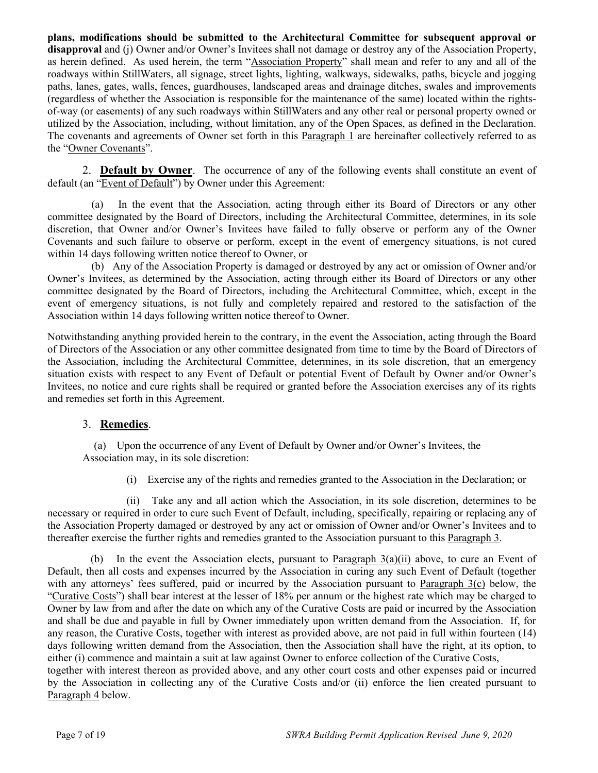**plans, modifications should be submitted to the Architectural Committee for subsequent approval or disapproval** and (j) Owner and/or Owner's Invitees shall not damage or destroy any of the Association Property, as herein defined. As used herein, the term "Association Property" shall mean and refer to any and all of the roadways within StillWaters, all signage, street lights, lighting, walkways, sidewalks, paths, bicycle and jogging paths, lanes, gates, walls, fences, guardhouses, landscaped areas and drainage ditches, swales and improvements (regardless of whether the Association is responsible for the maintenance of the same) located within the rightsof-way (or easements) of any such roadways within StillWaters and any other real or personal property owned or utilized by the Association, including, without limitation, any of the Open Spaces, as defined in the Declaration. The covenants and agreements of Owner set forth in this Paragraph 1 are hereinafter collectively referred to as the "Owner Covenants".

2. **Default by Owner**. The occurrence of any of the following events shall constitute an event of default (an "Event of Default") by Owner under this Agreement:

(a) In the event that the Association, acting through either its Board of Directors or any other committee designated by the Board of Directors, including the Architectural Committee, determines, in its sole discretion, that Owner and/or Owner's Invitees have failed to fully observe or perform any of the Owner Covenants and such failure to observe or perform, except in the event of emergency situations, is not cured within 14 days following written notice thereof to Owner, or

(b) Any of the Association Property is damaged or destroyed by any act or omission of Owner and/or Owner's Invitees, as determined by the Association, acting through either its Board of Directors or any other committee designated by the Board of Directors, including the Architectural Committee, which, except in the event of emergency situations, is not fully and completely repaired and restored to the satisfaction of the Association within 14 days following written notice thereof to Owner.

Notwithstanding anything provided herein to the contrary, in the event the Association, acting through the Board of Directors of the Association or any other committee designated from time to time by the Board of Directors of the Association, including the Architectural Committee, determines, in its sole discretion, that an emergency situation exists with respect to any Event of Default or potential Event of Default by Owner and/or Owner's Invitees, no notice and cure rights shall be required or granted before the Association exercises any of its rights and remedies set forth in this Agreement.

#### 3. **Remedies**.

(a) Upon the occurrence of any Event of Default by Owner and/or Owner's Invitees, the Association may, in its sole discretion:

(i) Exercise any of the rights and remedies granted to the Association in the Declaration; or

(ii) Take any and all action which the Association, in its sole discretion, determines to be necessary or required in order to cure such Event of Default, including, specifically, repairing or replacing any of the Association Property damaged or destroyed by any act or omission of Owner and/or Owner's Invitees and to thereafter exercise the further rights and remedies granted to the Association pursuant to this Paragraph 3.

(b) In the event the Association elects, pursuant to Paragraph 3(a)(ii) above, to cure an Event of Default, then all costs and expenses incurred by the Association in curing any such Event of Default (together with any attorneys' fees suffered, paid or incurred by the Association pursuant to Paragraph  $3(c)$  below, the "Curative Costs") shall bear interest at the lesser of 18% per annum or the highest rate which may be charged to Owner by law from and after the date on which any of the Curative Costs are paid or incurred by the Association and shall be due and payable in full by Owner immediately upon written demand from the Association. If, for any reason, the Curative Costs, together with interest as provided above, are not paid in full within fourteen (14) days following written demand from the Association, then the Association shall have the right, at its option, to either (i) commence and maintain a suit at law against Owner to enforce collection of the Curative Costs, together with interest thereon as provided above, and any other court costs and other expenses paid or incurred by the Association in collecting any of the Curative Costs and/or (ii) enforce the lien created pursuant to Paragraph 4 below.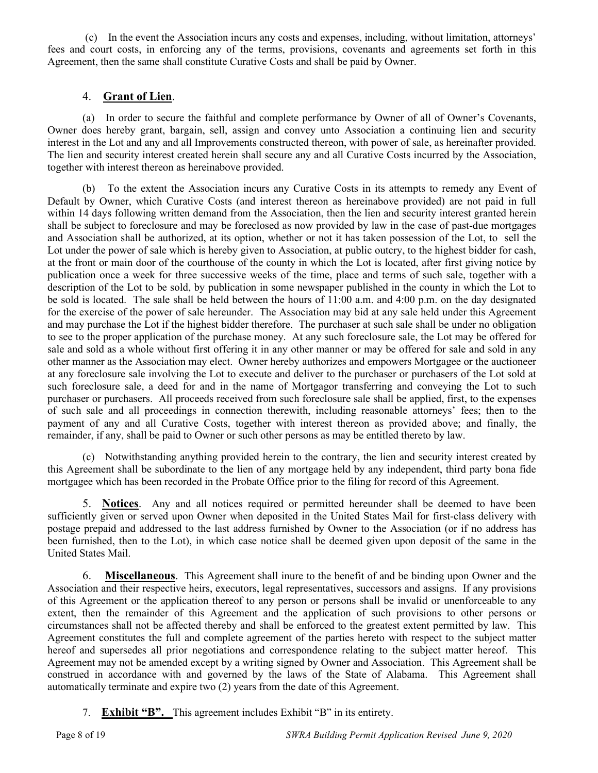(c) In the event the Association incurs any costs and expenses, including, without limitation, attorneys' fees and court costs, in enforcing any of the terms, provisions, covenants and agreements set forth in this Agreement, then the same shall constitute Curative Costs and shall be paid by Owner.

## 4. **Grant of Lien**.

(a) In order to secure the faithful and complete performance by Owner of all of Owner's Covenants, Owner does hereby grant, bargain, sell, assign and convey unto Association a continuing lien and security interest in the Lot and any and all Improvements constructed thereon, with power of sale, as hereinafter provided. The lien and security interest created herein shall secure any and all Curative Costs incurred by the Association, together with interest thereon as hereinabove provided.

(b) To the extent the Association incurs any Curative Costs in its attempts to remedy any Event of Default by Owner, which Curative Costs (and interest thereon as hereinabove provided) are not paid in full within 14 days following written demand from the Association, then the lien and security interest granted herein shall be subject to foreclosure and may be foreclosed as now provided by law in the case of past-due mortgages and Association shall be authorized, at its option, whether or not it has taken possession of the Lot, to sell the Lot under the power of sale which is hereby given to Association, at public outcry, to the highest bidder for cash, at the front or main door of the courthouse of the county in which the Lot is located, after first giving notice by publication once a week for three successive weeks of the time, place and terms of such sale, together with a description of the Lot to be sold, by publication in some newspaper published in the county in which the Lot to be sold is located. The sale shall be held between the hours of 11:00 a.m. and 4:00 p.m. on the day designated for the exercise of the power of sale hereunder. The Association may bid at any sale held under this Agreement and may purchase the Lot if the highest bidder therefore. The purchaser at such sale shall be under no obligation to see to the proper application of the purchase money. At any such foreclosure sale, the Lot may be offered for sale and sold as a whole without first offering it in any other manner or may be offered for sale and sold in any other manner as the Association may elect. Owner hereby authorizes and empowers Mortgagee or the auctioneer at any foreclosure sale involving the Lot to execute and deliver to the purchaser or purchasers of the Lot sold at such foreclosure sale, a deed for and in the name of Mortgagor transferring and conveying the Lot to such purchaser or purchasers. All proceeds received from such foreclosure sale shall be applied, first, to the expenses of such sale and all proceedings in connection therewith, including reasonable attorneys' fees; then to the payment of any and all Curative Costs, together with interest thereon as provided above; and finally, the remainder, if any, shall be paid to Owner or such other persons as may be entitled thereto by law.

(c) Notwithstanding anything provided herein to the contrary, the lien and security interest created by this Agreement shall be subordinate to the lien of any mortgage held by any independent, third party bona fide mortgagee which has been recorded in the Probate Office prior to the filing for record of this Agreement.

5. **Notices**. Any and all notices required or permitted hereunder shall be deemed to have been sufficiently given or served upon Owner when deposited in the United States Mail for first-class delivery with postage prepaid and addressed to the last address furnished by Owner to the Association (or if no address has been furnished, then to the Lot), in which case notice shall be deemed given upon deposit of the same in the United States Mail.

6. **Miscellaneous**. This Agreement shall inure to the benefit of and be binding upon Owner and the Association and their respective heirs, executors, legal representatives, successors and assigns. If any provisions of this Agreement or the application thereof to any person or persons shall be invalid or unenforceable to any extent, then the remainder of this Agreement and the application of such provisions to other persons or circumstances shall not be affected thereby and shall be enforced to the greatest extent permitted by law. This Agreement constitutes the full and complete agreement of the parties hereto with respect to the subject matter hereof and supersedes all prior negotiations and correspondence relating to the subject matter hereof. This Agreement may not be amended except by a writing signed by Owner and Association. This Agreement shall be construed in accordance with and governed by the laws of the State of Alabama. This Agreement shall automatically terminate and expire two (2) years from the date of this Agreement.

7. **Exhibit "B".** This agreement includes Exhibit "B" in its entirety.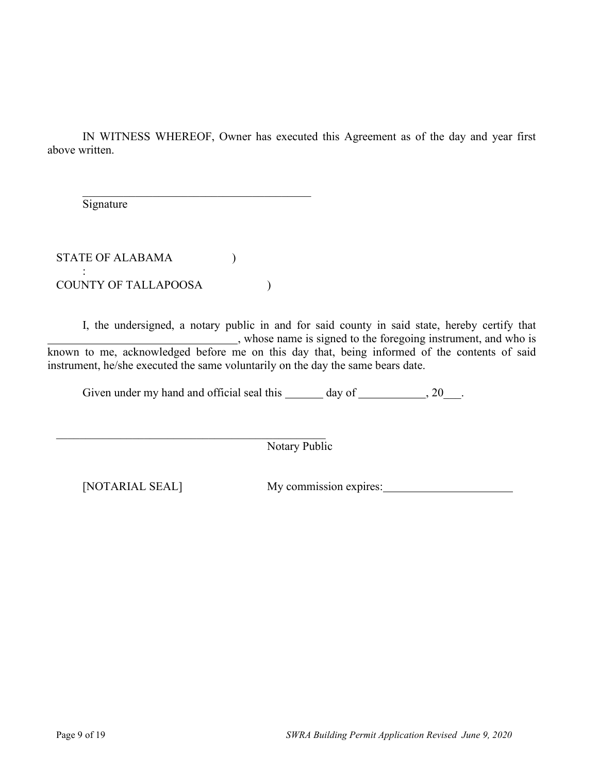IN WITNESS WHEREOF, Owner has executed this Agreement as of the day and year first above written.

Signature

STATE OF ALABAMA  $($ : COUNTY OF TALLAPOOSA  $)$ 

\_\_\_\_\_\_\_\_\_\_\_\_\_\_\_\_\_\_\_\_\_\_\_\_\_\_\_\_\_\_\_\_\_\_\_\_\_\_\_

I, the undersigned, a notary public in and for said county in said state, hereby certify that , whose name is signed to the foregoing instrument, and who is known to me, acknowledged before me on this day that, being informed of the contents of said instrument, he/she executed the same voluntarily on the day the same bears date.

Given under my hand and official seal this  $\_\_\_\_$  day of  $\_\_\_\_\_$ , 20 $\_\_\_\$ .

Notary Public

[NOTARIAL SEAL] My commission expires: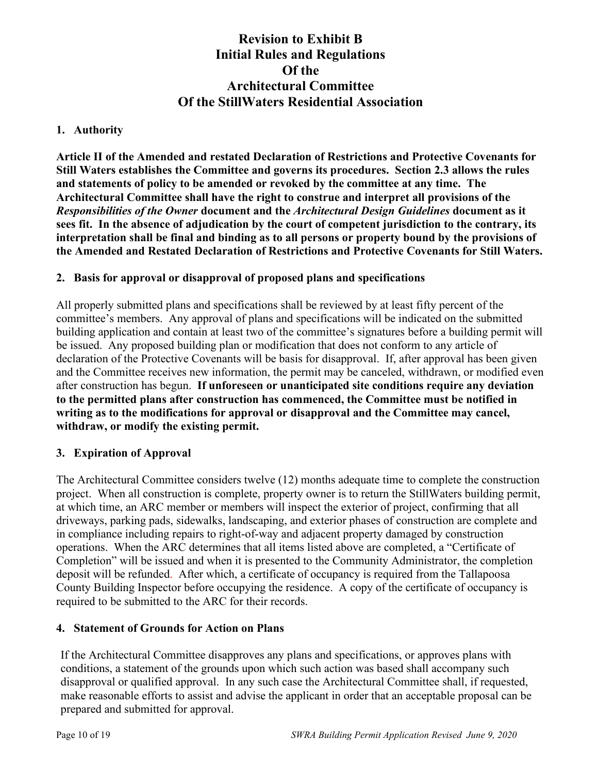## **Revision to Exhibit B Initial Rules and Regulations Of the Architectural Committee Of the StillWaters Residential Association**

## **1. Authority**

**Article II of the Amended and restated Declaration of Restrictions and Protective Covenants for Still Waters establishes the Committee and governs its procedures. Section 2.3 allows the rules and statements of policy to be amended or revoked by the committee at any time. The Architectural Committee shall have the right to construe and interpret all provisions of the**  *Responsibilities of the Owner* **document and the** *Architectural Design Guidelines* **document as it sees fit. In the absence of adjudication by the court of competent jurisdiction to the contrary, its interpretation shall be final and binding as to all persons or property bound by the provisions of the Amended and Restated Declaration of Restrictions and Protective Covenants for Still Waters.**

## **2. Basis for approval or disapproval of proposed plans and specifications**

All properly submitted plans and specifications shall be reviewed by at least fifty percent of the committee's members. Any approval of plans and specifications will be indicated on the submitted building application and contain at least two of the committee's signatures before a building permit will be issued. Any proposed building plan or modification that does not conform to any article of declaration of the Protective Covenants will be basis for disapproval. If, after approval has been given and the Committee receives new information, the permit may be canceled, withdrawn, or modified even after construction has begun. **If unforeseen or unanticipated site conditions require any deviation to the permitted plans after construction has commenced, the Committee must be notified in writing as to the modifications for approval or disapproval and the Committee may cancel, withdraw, or modify the existing permit.** 

## **3. Expiration of Approval**

The Architectural Committee considers twelve (12) months adequate time to complete the construction project. When all construction is complete, property owner is to return the StillWaters building permit, at which time, an ARC member or members will inspect the exterior of project, confirming that all driveways, parking pads, sidewalks, landscaping, and exterior phases of construction are complete and in compliance including repairs to right-of-way and adjacent property damaged by construction operations. When the ARC determines that all items listed above are completed, a "Certificate of Completion" will be issued and when it is presented to the Community Administrator, the completion deposit will be refunded. After which, a certificate of occupancy is required from the Tallapoosa County Building Inspector before occupying the residence. A copy of the certificate of occupancy is required to be submitted to the ARC for their records.

## **4. Statement of Grounds for Action on Plans**

If the Architectural Committee disapproves any plans and specifications, or approves plans with conditions, a statement of the grounds upon which such action was based shall accompany such disapproval or qualified approval. In any such case the Architectural Committee shall, if requested, make reasonable efforts to assist and advise the applicant in order that an acceptable proposal can be prepared and submitted for approval.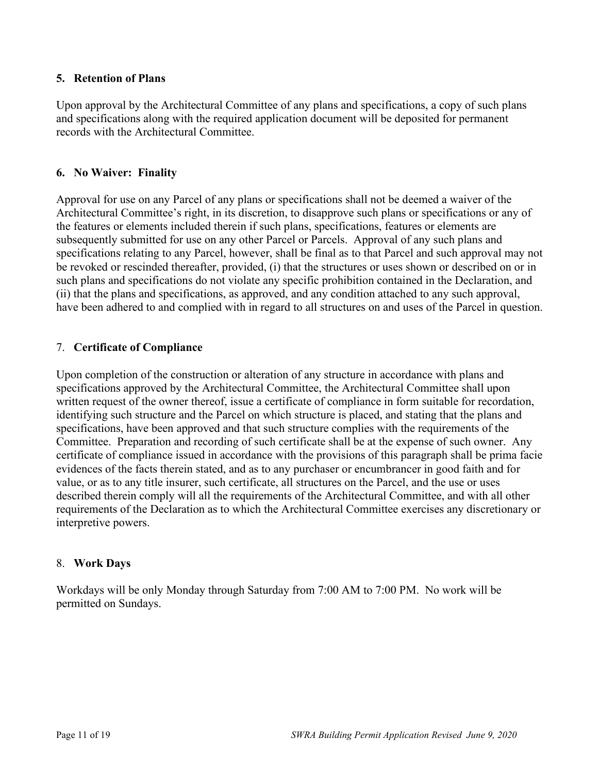## **5. Retention of Plans**

Upon approval by the Architectural Committee of any plans and specifications, a copy of such plans and specifications along with the required application document will be deposited for permanent records with the Architectural Committee.

#### **6. No Waiver: Finality**

Approval for use on any Parcel of any plans or specifications shall not be deemed a waiver of the Architectural Committee's right, in its discretion, to disapprove such plans or specifications or any of the features or elements included therein if such plans, specifications, features or elements are subsequently submitted for use on any other Parcel or Parcels. Approval of any such plans and specifications relating to any Parcel, however, shall be final as to that Parcel and such approval may not be revoked or rescinded thereafter, provided, (i) that the structures or uses shown or described on or in such plans and specifications do not violate any specific prohibition contained in the Declaration, and (ii) that the plans and specifications, as approved, and any condition attached to any such approval, have been adhered to and complied with in regard to all structures on and uses of the Parcel in question.

## 7. **Certificate of Compliance**

Upon completion of the construction or alteration of any structure in accordance with plans and specifications approved by the Architectural Committee, the Architectural Committee shall upon written request of the owner thereof, issue a certificate of compliance in form suitable for recordation, identifying such structure and the Parcel on which structure is placed, and stating that the plans and specifications, have been approved and that such structure complies with the requirements of the Committee. Preparation and recording of such certificate shall be at the expense of such owner. Any certificate of compliance issued in accordance with the provisions of this paragraph shall be prima facie evidences of the facts therein stated, and as to any purchaser or encumbrancer in good faith and for value, or as to any title insurer, such certificate, all structures on the Parcel, and the use or uses described therein comply will all the requirements of the Architectural Committee, and with all other requirements of the Declaration as to which the Architectural Committee exercises any discretionary or interpretive powers.

#### 8. **Work Days**

Workdays will be only Monday through Saturday from 7:00 AM to 7:00 PM. No work will be permitted on Sundays.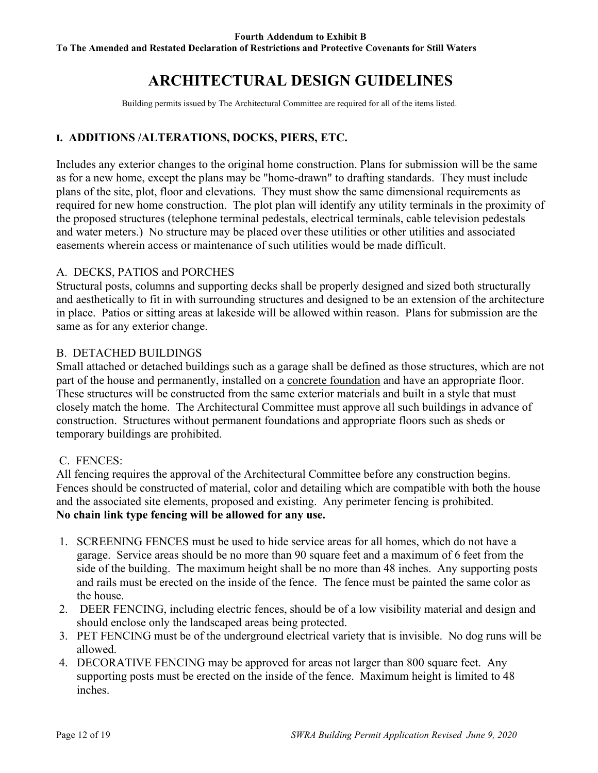# **ARCHITECTURAL DESIGN GUIDELINES**

Building permits issued by The Architectural Committee are required for all of the items listed.

## **I. ADDITIONS /ALTERATIONS, DOCKS, PIERS, ETC.**

Includes any exterior changes to the original home construction. Plans for submission will be the same as for a new home, except the plans may be "home-drawn" to drafting standards. They must include plans of the site, plot, floor and elevations. They must show the same dimensional requirements as required for new home construction. The plot plan will identify any utility terminals in the proximity of the proposed structures (telephone terminal pedestals, electrical terminals, cable television pedestals and water meters.) No structure may be placed over these utilities or other utilities and associated easements wherein access or maintenance of such utilities would be made difficult.

## A. DECKS, PATIOS and PORCHES

Structural posts, columns and supporting decks shall be properly designed and sized both structurally and aesthetically to fit in with surrounding structures and designed to be an extension of the architecture in place. Patios or sitting areas at lakeside will be allowed within reason. Plans for submission are the same as for any exterior change.

#### B. DETACHED BUILDINGS

Small attached or detached buildings such as a garage shall be defined as those structures, which are not part of the house and permanently, installed on a concrete foundation and have an appropriate floor. These structures will be constructed from the same exterior materials and built in a style that must closely match the home. The Architectural Committee must approve all such buildings in advance of construction. Structures without permanent foundations and appropriate floors such as sheds or temporary buildings are prohibited.

#### C. FENCES:

All fencing requires the approval of the Architectural Committee before any construction begins. Fences should be constructed of material, color and detailing which are compatible with both the house and the associated site elements, proposed and existing. Any perimeter fencing is prohibited. **No chain link type fencing will be allowed for any use.**

- 1. SCREENING FENCES must be used to hide service areas for all homes, which do not have a garage. Service areas should be no more than 90 square feet and a maximum of 6 feet from the side of the building. The maximum height shall be no more than 48 inches. Any supporting posts and rails must be erected on the inside of the fence. The fence must be painted the same color as the house.
- 2. DEER FENCING, including electric fences, should be of a low visibility material and design and should enclose only the landscaped areas being protected.
- 3. PET FENCING must be of the underground electrical variety that is invisible. No dog runs will be allowed.
- 4. DECORATIVE FENCING may be approved for areas not larger than 800 square feet. Any supporting posts must be erected on the inside of the fence. Maximum height is limited to 48 inches.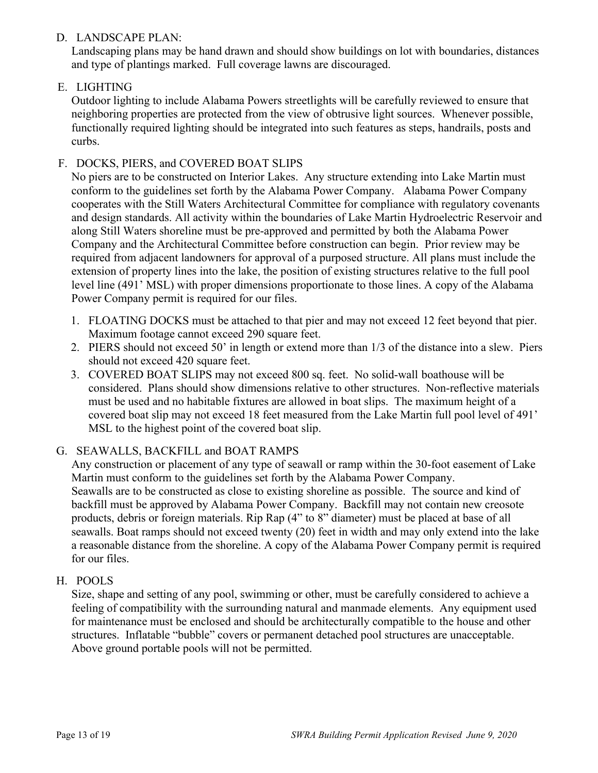## D. LANDSCAPE PLAN:

Landscaping plans may be hand drawn and should show buildings on lot with boundaries, distances and type of plantings marked. Full coverage lawns are discouraged.

## E. LIGHTING

Outdoor lighting to include Alabama Powers streetlights will be carefully reviewed to ensure that neighboring properties are protected from the view of obtrusive light sources. Whenever possible, functionally required lighting should be integrated into such features as steps, handrails, posts and curbs.

## F. DOCKS, PIERS, and COVERED BOAT SLIPS

No piers are to be constructed on Interior Lakes. Any structure extending into Lake Martin must conform to the guidelines set forth by the Alabama Power Company. Alabama Power Company cooperates with the Still Waters Architectural Committee for compliance with regulatory covenants and design standards. All activity within the boundaries of Lake Martin Hydroelectric Reservoir and along Still Waters shoreline must be pre-approved and permitted by both the Alabama Power Company and the Architectural Committee before construction can begin. Prior review may be required from adjacent landowners for approval of a purposed structure. All plans must include the extension of property lines into the lake, the position of existing structures relative to the full pool level line (491' MSL) with proper dimensions proportionate to those lines. A copy of the Alabama Power Company permit is required for our files.

- 1. FLOATING DOCKS must be attached to that pier and may not exceed 12 feet beyond that pier. Maximum footage cannot exceed 290 square feet.
- 2. PIERS should not exceed 50' in length or extend more than 1/3 of the distance into a slew. Piers should not exceed 420 square feet.
- 3. COVERED BOAT SLIPS may not exceed 800 sq. feet. No solid-wall boathouse will be considered. Plans should show dimensions relative to other structures. Non-reflective materials must be used and no habitable fixtures are allowed in boat slips. The maximum height of a covered boat slip may not exceed 18 feet measured from the Lake Martin full pool level of 491' MSL to the highest point of the covered boat slip.

## G. SEAWALLS, BACKFILL and BOAT RAMPS

Any construction or placement of any type of seawall or ramp within the 30-foot easement of Lake Martin must conform to the guidelines set forth by the Alabama Power Company. Seawalls are to be constructed as close to existing shoreline as possible. The source and kind of backfill must be approved by Alabama Power Company. Backfill may not contain new creosote products, debris or foreign materials. Rip Rap (4" to 8" diameter) must be placed at base of all seawalls. Boat ramps should not exceed twenty (20) feet in width and may only extend into the lake a reasonable distance from the shoreline. A copy of the Alabama Power Company permit is required for our files.

## H. POOLS

Size, shape and setting of any pool, swimming or other, must be carefully considered to achieve a feeling of compatibility with the surrounding natural and manmade elements. Any equipment used for maintenance must be enclosed and should be architecturally compatible to the house and other structures. Inflatable "bubble" covers or permanent detached pool structures are unacceptable. Above ground portable pools will not be permitted.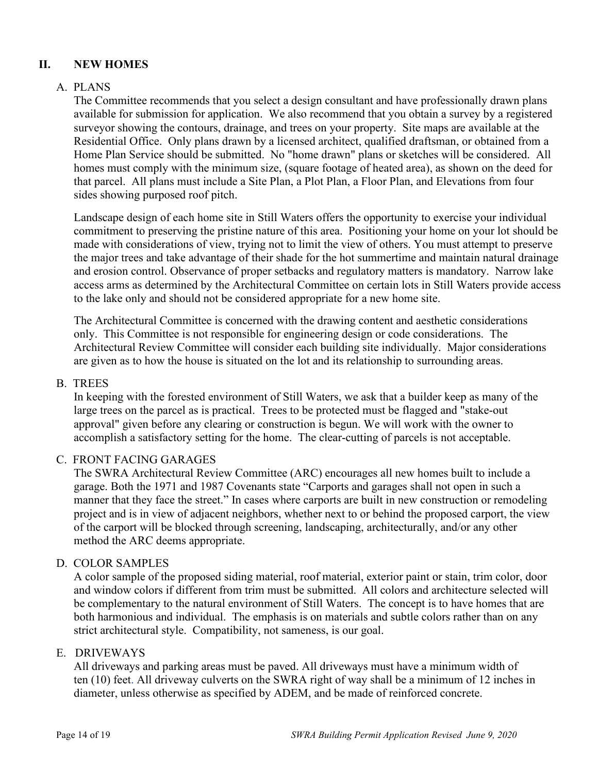## **II. NEW HOMES**

## A. PLANS

The Committee recommends that you select a design consultant and have professionally drawn plans available for submission for application. We also recommend that you obtain a survey by a registered surveyor showing the contours, drainage, and trees on your property. Site maps are available at the Residential Office. Only plans drawn by a licensed architect, qualified draftsman, or obtained from a Home Plan Service should be submitted. No "home drawn" plans or sketches will be considered. All homes must comply with the minimum size, (square footage of heated area), as shown on the deed for that parcel. All plans must include a Site Plan, a Plot Plan, a Floor Plan, and Elevations from four sides showing purposed roof pitch.

Landscape design of each home site in Still Waters offers the opportunity to exercise your individual commitment to preserving the pristine nature of this area. Positioning your home on your lot should be made with considerations of view, trying not to limit the view of others. You must attempt to preserve the major trees and take advantage of their shade for the hot summertime and maintain natural drainage and erosion control. Observance of proper setbacks and regulatory matters is mandatory. Narrow lake access arms as determined by the Architectural Committee on certain lots in Still Waters provide access to the lake only and should not be considered appropriate for a new home site.

The Architectural Committee is concerned with the drawing content and aesthetic considerations only. This Committee is not responsible for engineering design or code considerations. The Architectural Review Committee will consider each building site individually. Major considerations are given as to how the house is situated on the lot and its relationship to surrounding areas.

#### B. TREES

In keeping with the forested environment of Still Waters, we ask that a builder keep as many of the large trees on the parcel as is practical. Trees to be protected must be flagged and "stake-out approval" given before any clearing or construction is begun. We will work with the owner to accomplish a satisfactory setting for the home. The clear-cutting of parcels is not acceptable.

#### C. FRONT FACING GARAGES

The SWRA Architectural Review Committee (ARC) encourages all new homes built to include a garage. Both the 1971 and 1987 Covenants state "Carports and garages shall not open in such a manner that they face the street." In cases where carports are built in new construction or remodeling project and is in view of adjacent neighbors, whether next to or behind the proposed carport, the view of the carport will be blocked through screening, landscaping, architecturally, and/or any other method the ARC deems appropriate.

#### D. COLOR SAMPLES

A color sample of the proposed siding material, roof material, exterior paint or stain, trim color, door and window colors if different from trim must be submitted. All colors and architecture selected will be complementary to the natural environment of Still Waters. The concept is to have homes that are both harmonious and individual. The emphasis is on materials and subtle colors rather than on any strict architectural style. Compatibility, not sameness, is our goal.

#### E. DRIVEWAYS

All driveways and parking areas must be paved. All driveways must have a minimum width of ten (10) feet. All driveway culverts on the SWRA right of way shall be a minimum of 12 inches in diameter, unless otherwise as specified by ADEM, and be made of reinforced concrete.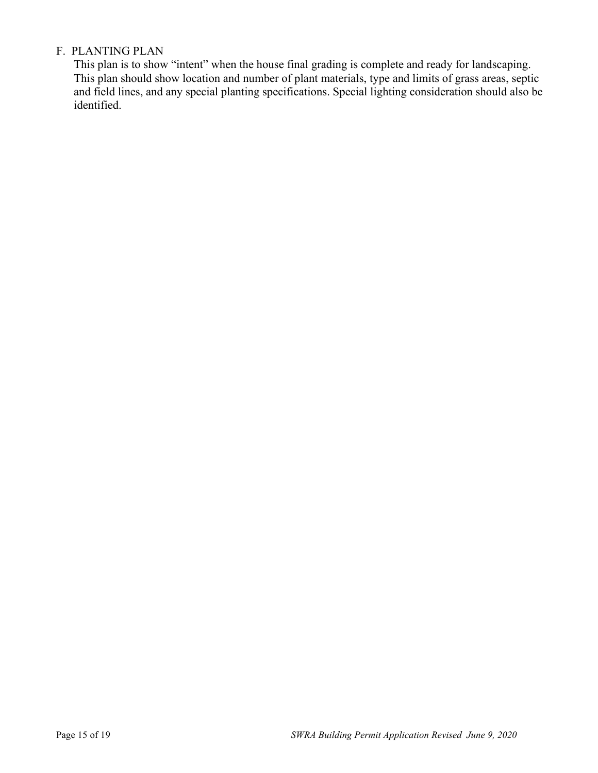## F. PLANTING PLAN

This plan is to show "intent" when the house final grading is complete and ready for landscaping. This plan should show location and number of plant materials, type and limits of grass areas, septic and field lines, and any special planting specifications. Special lighting consideration should also be identified.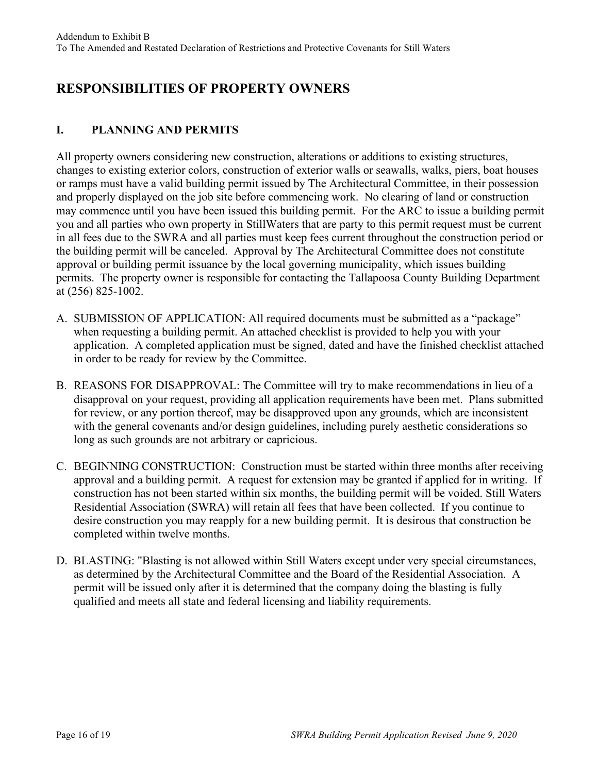# **RESPONSIBILITIES OF PROPERTY OWNERS**

## **I. PLANNING AND PERMITS**

All property owners considering new construction, alterations or additions to existing structures, changes to existing exterior colors, construction of exterior walls or seawalls, walks, piers, boat houses or ramps must have a valid building permit issued by The Architectural Committee, in their possession and properly displayed on the job site before commencing work. No clearing of land or construction may commence until you have been issued this building permit. For the ARC to issue a building permit you and all parties who own property in StillWaters that are party to this permit request must be current in all fees due to the SWRA and all parties must keep fees current throughout the construction period or the building permit will be canceled. Approval by The Architectural Committee does not constitute approval or building permit issuance by the local governing municipality, which issues building permits. The property owner is responsible for contacting the Tallapoosa County Building Department at (256) 825-1002.

- A. SUBMISSION OF APPLICATION: All required documents must be submitted as a "package" when requesting a building permit. An attached checklist is provided to help you with your application. A completed application must be signed, dated and have the finished checklist attached in order to be ready for review by the Committee.
- B. REASONS FOR DISAPPROVAL: The Committee will try to make recommendations in lieu of a disapproval on your request, providing all application requirements have been met. Plans submitted for review, or any portion thereof, may be disapproved upon any grounds, which are inconsistent with the general covenants and/or design guidelines, including purely aesthetic considerations so long as such grounds are not arbitrary or capricious.
- C. BEGINNING CONSTRUCTION: Construction must be started within three months after receiving approval and a building permit. A request for extension may be granted if applied for in writing. If construction has not been started within six months, the building permit will be voided. Still Waters Residential Association (SWRA) will retain all fees that have been collected. If you continue to desire construction you may reapply for a new building permit. It is desirous that construction be completed within twelve months.
- D. BLASTING: "Blasting is not allowed within Still Waters except under very special circumstances, as determined by the Architectural Committee and the Board of the Residential Association. A permit will be issued only after it is determined that the company doing the blasting is fully qualified and meets all state and federal licensing and liability requirements.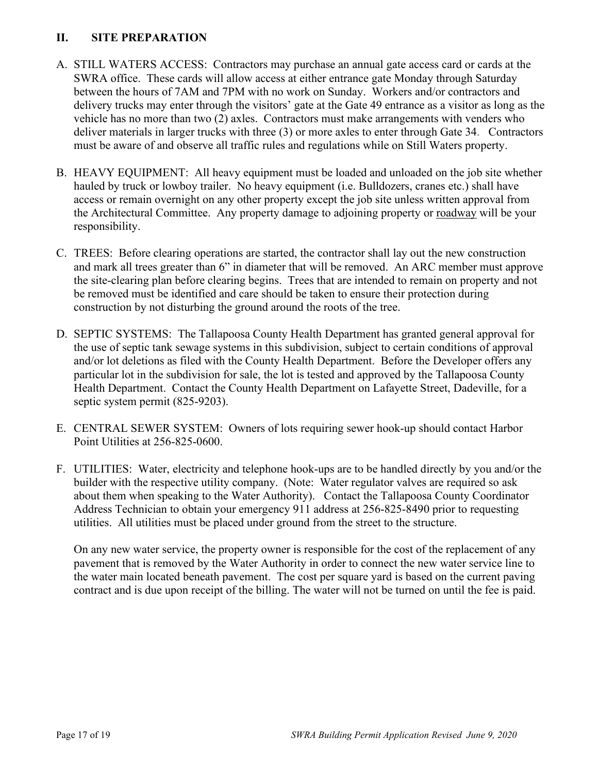## **II. SITE PREPARATION**

- A. STILL WATERS ACCESS: Contractors may purchase an annual gate access card or cards at the SWRA office. These cards will allow access at either entrance gate Monday through Saturday between the hours of 7AM and 7PM with no work on Sunday. Workers and/or contractors and delivery trucks may enter through the visitors' gate at the Gate 49 entrance as a visitor as long as the vehicle has no more than two (2) axles. Contractors must make arrangements with venders who deliver materials in larger trucks with three (3) or more axles to enter through Gate 34. Contractors must be aware of and observe all traffic rules and regulations while on Still Waters property.
- B. HEAVY EQUIPMENT: All heavy equipment must be loaded and unloaded on the job site whether hauled by truck or lowboy trailer. No heavy equipment (i.e. Bulldozers, cranes etc.) shall have access or remain overnight on any other property except the job site unless written approval from the Architectural Committee. Any property damage to adjoining property or roadway will be your responsibility.
- C. TREES: Before clearing operations are started, the contractor shall lay out the new construction and mark all trees greater than 6" in diameter that will be removed. An ARC member must approve the site-clearing plan before clearing begins. Trees that are intended to remain on property and not be removed must be identified and care should be taken to ensure their protection during construction by not disturbing the ground around the roots of the tree.
- D. SEPTIC SYSTEMS: The Tallapoosa County Health Department has granted general approval for the use of septic tank sewage systems in this subdivision, subject to certain conditions of approval and/or lot deletions as filed with the County Health Department. Before the Developer offers any particular lot in the subdivision for sale, the lot is tested and approved by the Tallapoosa County Health Department. Contact the County Health Department on Lafayette Street, Dadeville, for a septic system permit (825-9203).
- E. CENTRAL SEWER SYSTEM: Owners of lots requiring sewer hook-up should contact Harbor Point Utilities at 256-825-0600.
- F. UTILITIES: Water, electricity and telephone hook-ups are to be handled directly by you and/or the builder with the respective utility company. (Note: Water regulator valves are required so ask about them when speaking to the Water Authority). Contact the Tallapoosa County Coordinator Address Technician to obtain your emergency 911 address at 256-825-8490 prior to requesting utilities. All utilities must be placed under ground from the street to the structure.

On any new water service, the property owner is responsible for the cost of the replacement of any pavement that is removed by the Water Authority in order to connect the new water service line to the water main located beneath pavement. The cost per square yard is based on the current paving contract and is due upon receipt of the billing. The water will not be turned on until the fee is paid.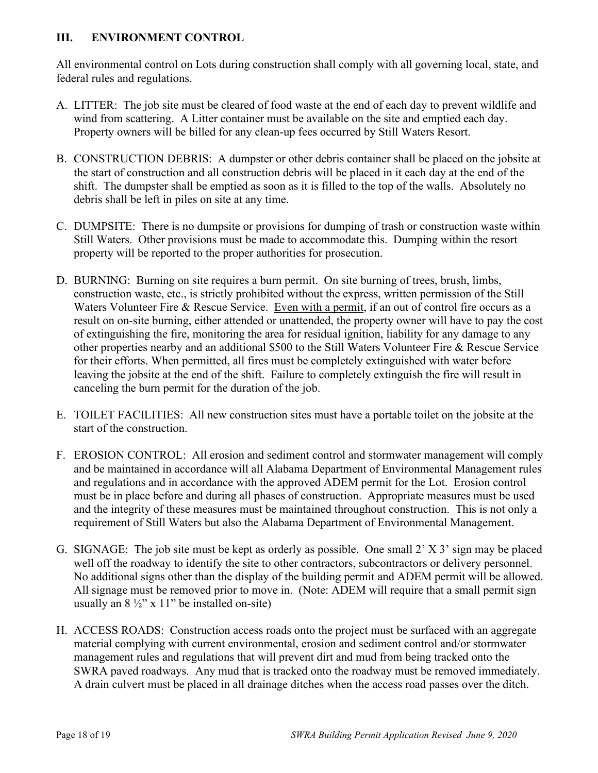## **III. ENVIRONMENT CONTROL**

All environmental control on Lots during construction shall comply with all governing local, state, and federal rules and regulations.

- A. LITTER: The job site must be cleared of food waste at the end of each day to prevent wildlife and wind from scattering. A Litter container must be available on the site and emptied each day. Property owners will be billed for any clean-up fees occurred by Still Waters Resort.
- B. CONSTRUCTION DEBRIS: A dumpster or other debris container shall be placed on the jobsite at the start of construction and all construction debris will be placed in it each day at the end of the shift. The dumpster shall be emptied as soon as it is filled to the top of the walls. Absolutely no debris shall be left in piles on site at any time.
- C. DUMPSITE: There is no dumpsite or provisions for dumping of trash or construction waste within Still Waters. Other provisions must be made to accommodate this. Dumping within the resort property will be reported to the proper authorities for prosecution.
- D. BURNING: Burning on site requires a burn permit. On site burning of trees, brush, limbs, construction waste, etc., is strictly prohibited without the express, written permission of the Still Waters Volunteer Fire & Rescue Service. Even with a permit, if an out of control fire occurs as a result on on-site burning, either attended or unattended, the property owner will have to pay the cost of extinguishing the fire, monitoring the area for residual ignition, liability for any damage to any other properties nearby and an additional \$500 to the Still Waters Volunteer Fire & Rescue Service for their efforts. When permitted, all fires must be completely extinguished with water before leaving the jobsite at the end of the shift. Failure to completely extinguish the fire will result in canceling the burn permit for the duration of the job.
- E. TOILET FACILITIES: All new construction sites must have a portable toilet on the jobsite at the start of the construction.
- F. EROSION CONTROL: All erosion and sediment control and stormwater management will comply and be maintained in accordance will all Alabama Department of Environmental Management rules and regulations and in accordance with the approved ADEM permit for the Lot. Erosion control must be in place before and during all phases of construction. Appropriate measures must be used and the integrity of these measures must be maintained throughout construction. This is not only a requirement of Still Waters but also the Alabama Department of Environmental Management.
- G. SIGNAGE: The job site must be kept as orderly as possible. One small 2' X 3' sign may be placed well off the roadway to identify the site to other contractors, subcontractors or delivery personnel. No additional signs other than the display of the building permit and ADEM permit will be allowed. All signage must be removed prior to move in. (Note: ADEM will require that a small permit sign usually an  $8\frac{1}{2}$ " x 11" be installed on-site)
- H. ACCESS ROADS: Construction access roads onto the project must be surfaced with an aggregate material complying with current environmental, erosion and sediment control and/or stormwater management rules and regulations that will prevent dirt and mud from being tracked onto the SWRA paved roadways. Any mud that is tracked onto the roadway must be removed immediately. A drain culvert must be placed in all drainage ditches when the access road passes over the ditch.